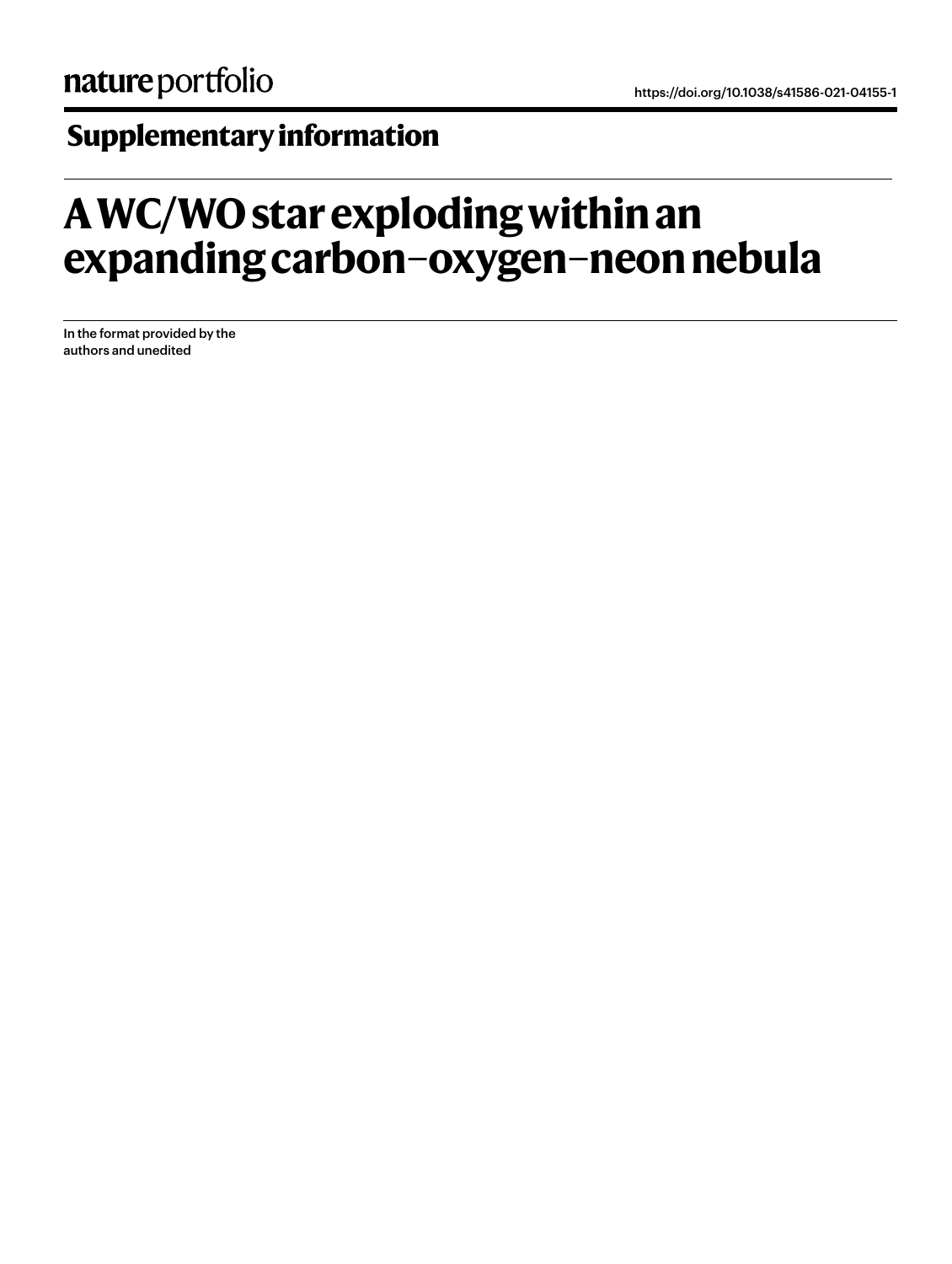## **Supplementary information**

## **A WC/WO star exploding within an expanding carbon–oxygen–neon nebula**

In the format provided by the authors and unedited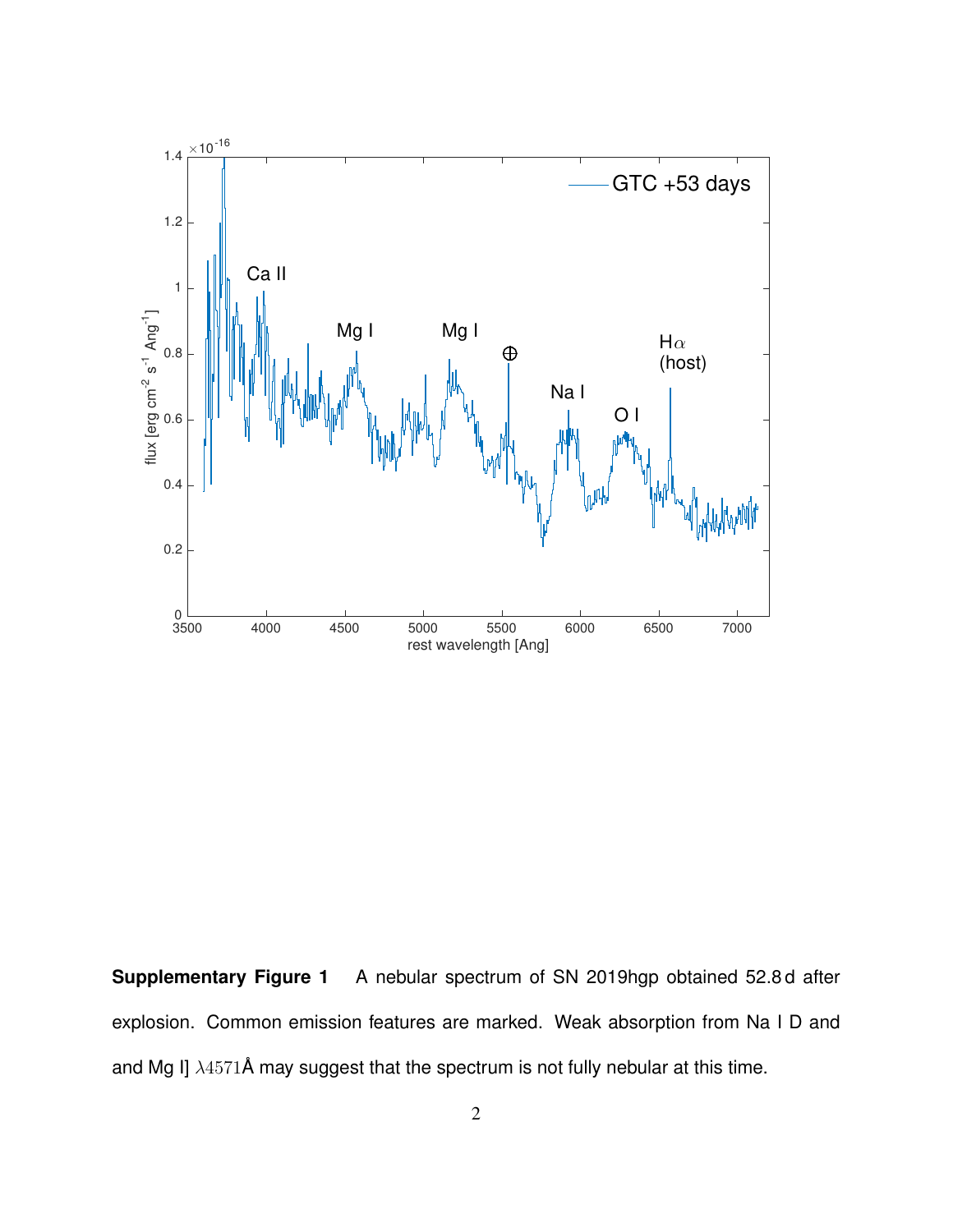

**Supplementary Figure 1** A nebular spectrum of SN 2019hgp obtained 52.8 d after explosion. Common emission features are marked. Weak absorption from Na I D and and Mg I]  $\lambda$ 4571Å may suggest that the spectrum is not fully nebular at this time.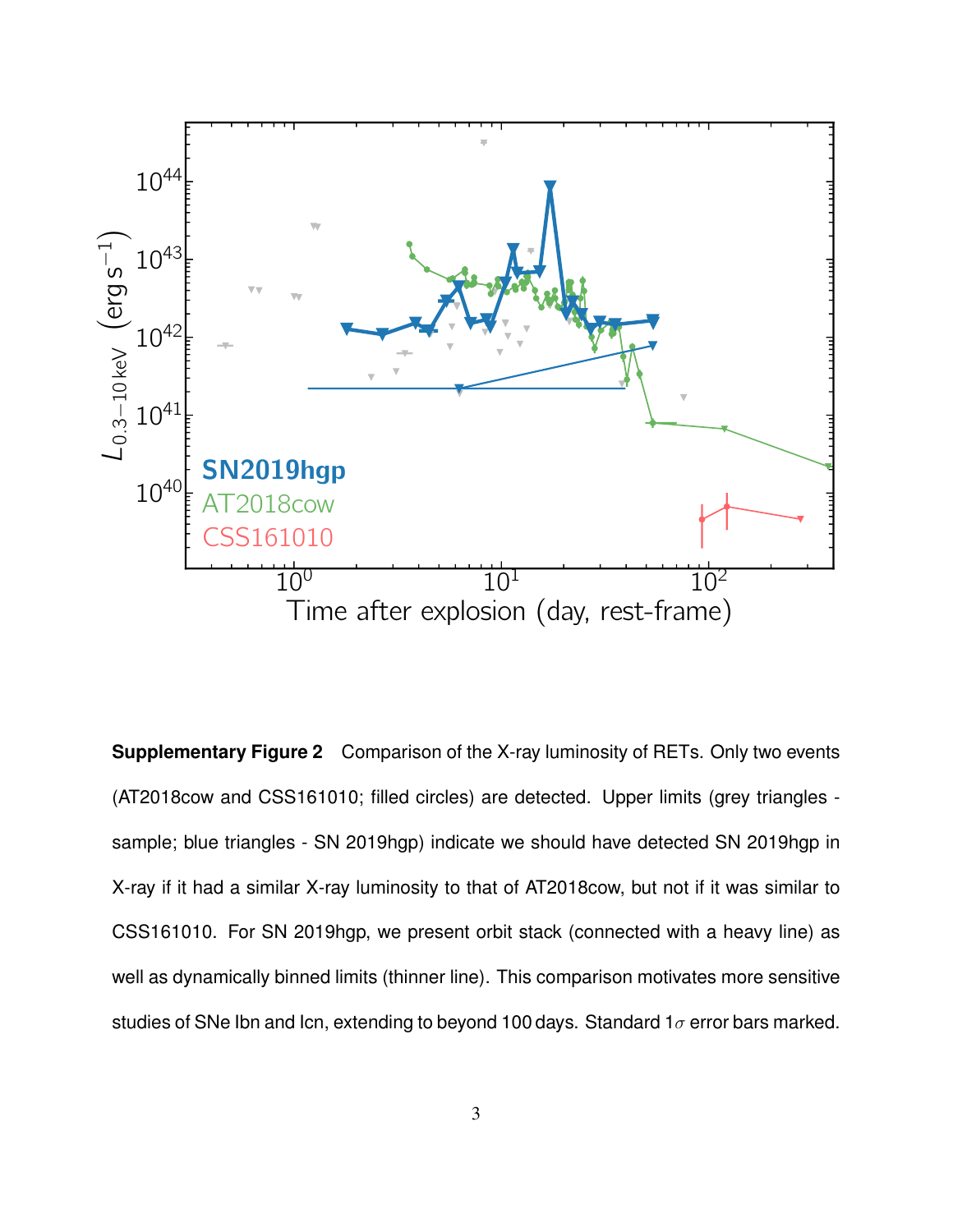

**Supplementary Figure 2** Comparison of the X-ray luminosity of RETs. Only two events (AT2018cow and CSS161010; filled circles) are detected. Upper limits (grey triangles sample; blue triangles - SN 2019hgp) indicate we should have detected SN 2019hgp in X-ray if it had a similar X-ray luminosity to that of AT2018cow, but not if it was similar to CSS161010. For SN 2019hgp, we present orbit stack (connected with a heavy line) as well as dynamically binned limits (thinner line). This comparison motivates more sensitive studies of SNe Ibn and Icn, extending to beyond 100 days. Standard 1 $\sigma$  error bars marked.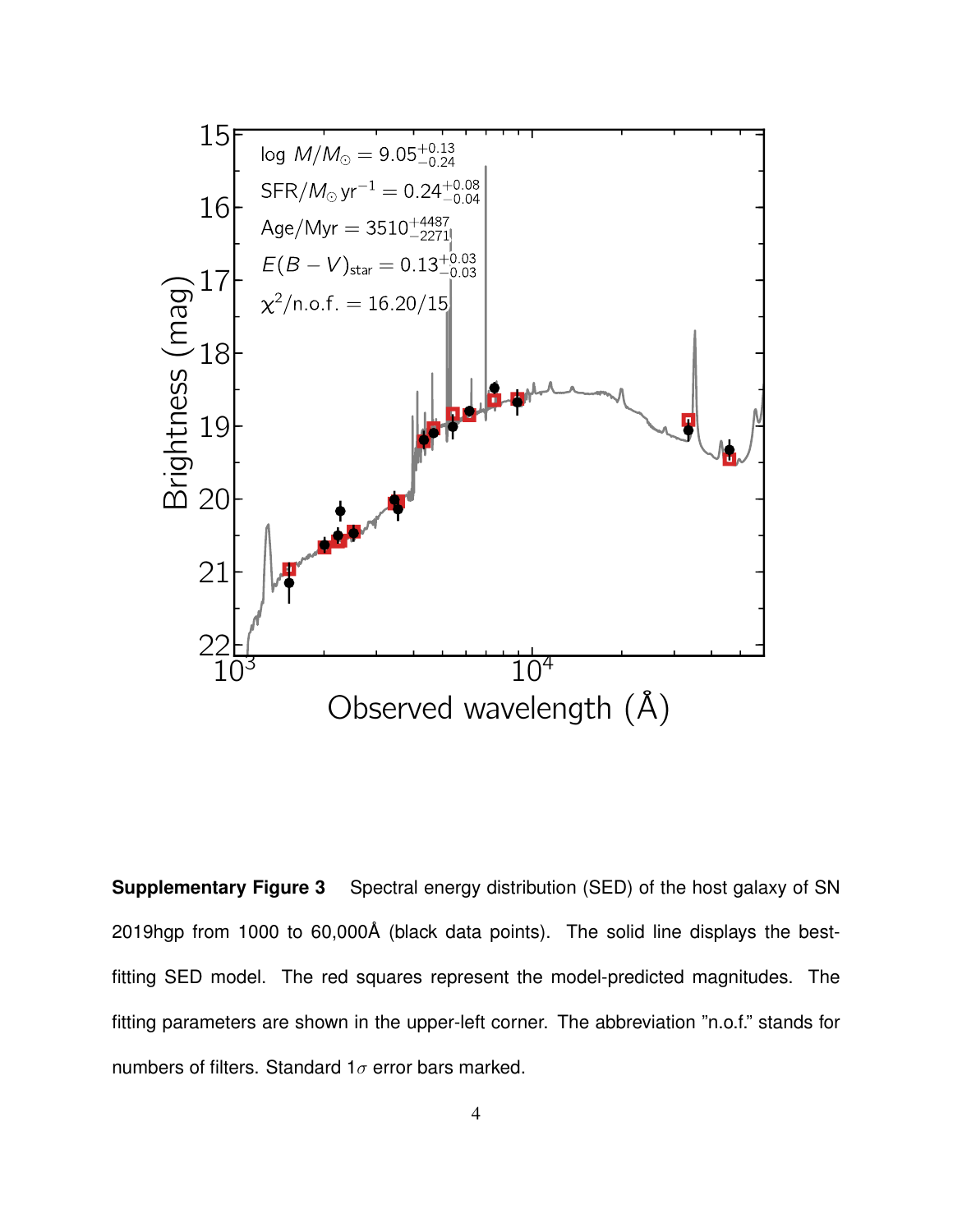

**Supplementary Figure 3** Spectral energy distribution (SED) of the host galaxy of SN 2019hgp from 1000 to 60,000Å (black data points). The solid line displays the bestfitting SED model. The red squares represent the model-predicted magnitudes. The fitting parameters are shown in the upper-left corner. The abbreviation "n.o.f." stands for numbers of filters. Standard 1 $\sigma$  error bars marked.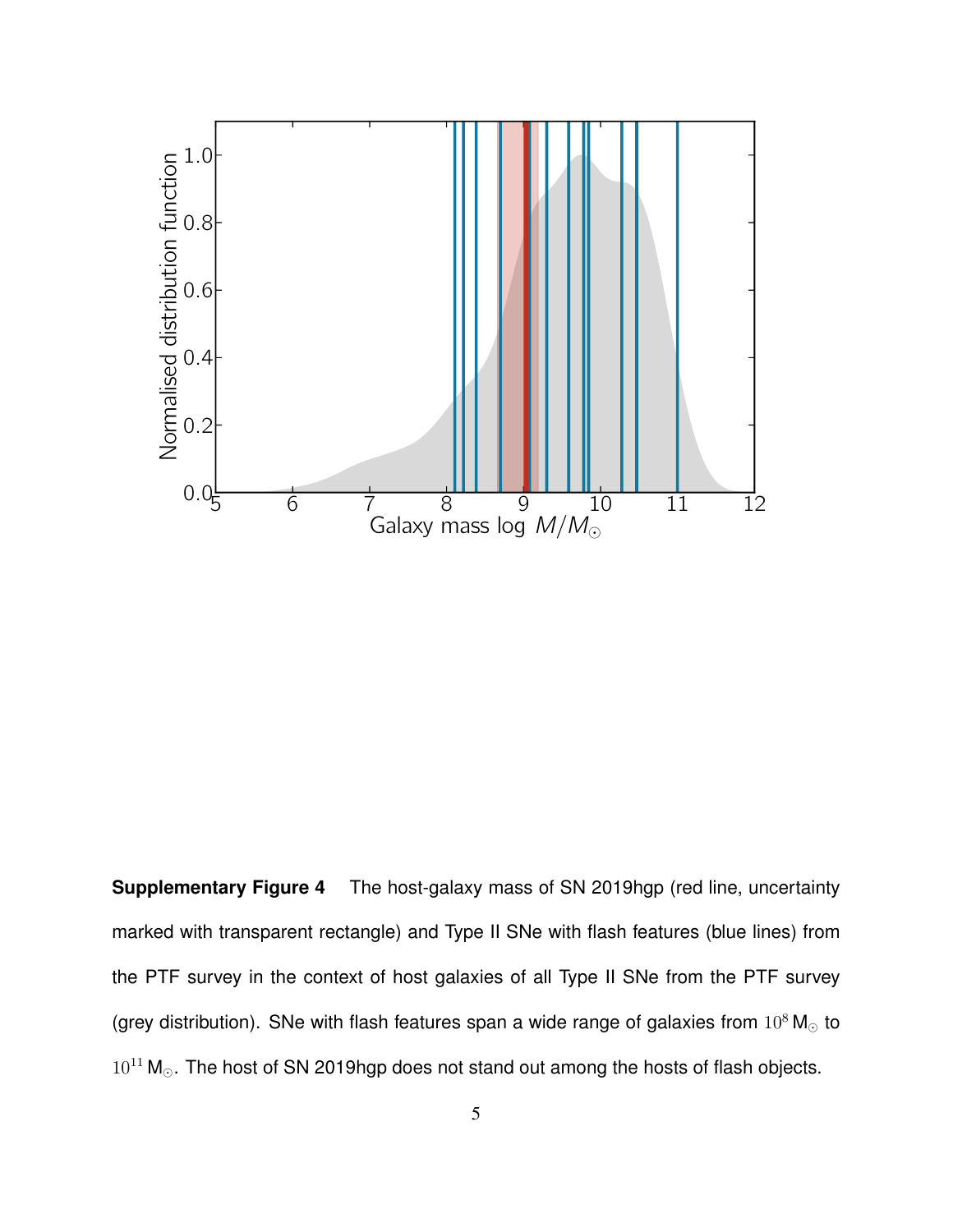

**Supplementary Figure 4** The host-galaxy mass of SN 2019hgp (red line, uncertainty marked with transparent rectangle) and Type II SNe with flash features (blue lines) from the PTF survey in the context of host galaxies of all Type II SNe from the PTF survey (grey distribution). SNe with flash features span a wide range of galaxies from  $10^8$  M<sub>o</sub> to  $10^{11}$  M<sub> $\odot$ </sub>. The host of SN 2019hgp does not stand out among the hosts of flash objects.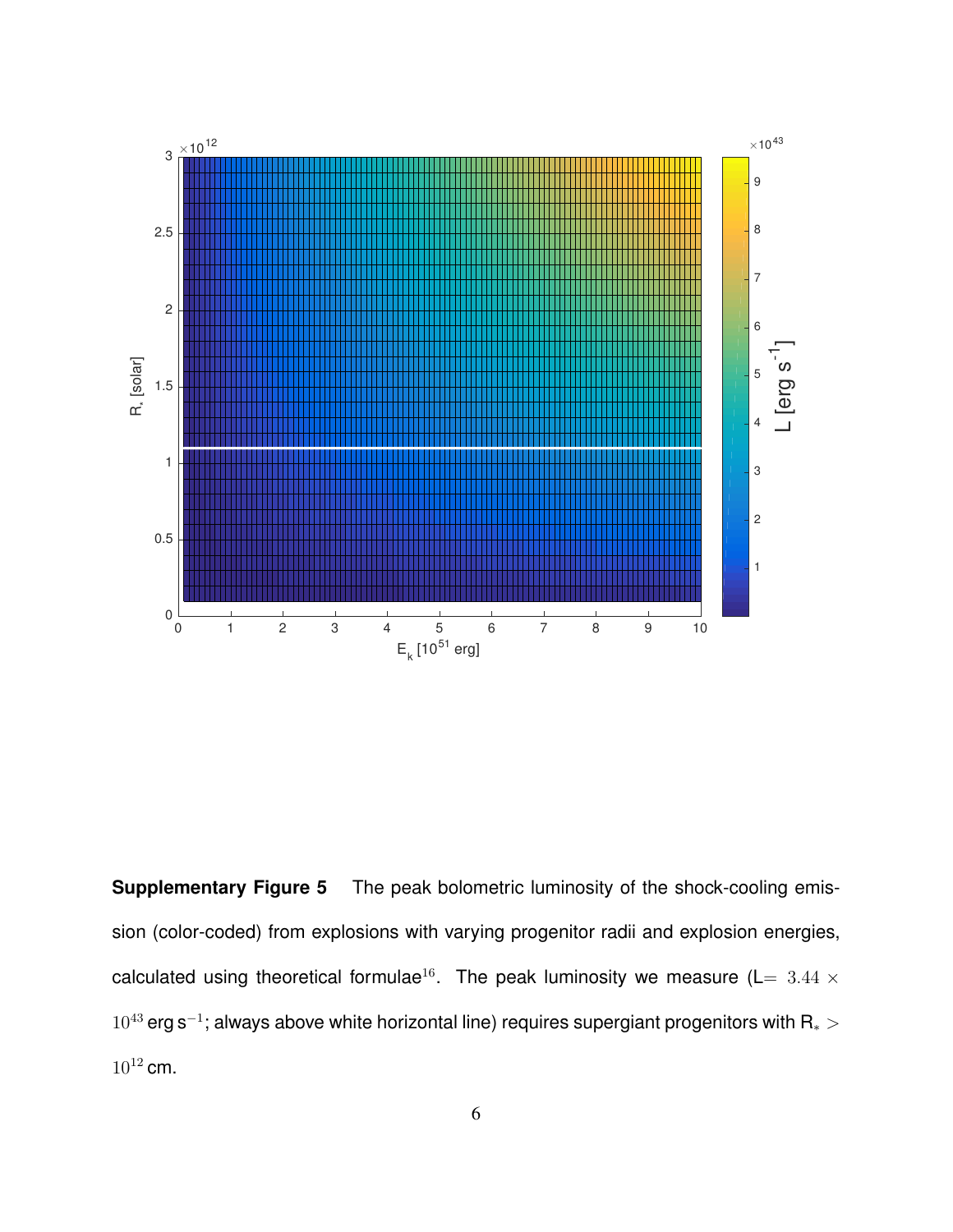

**Supplementary Figure 5** The peak bolometric luminosity of the shock-cooling emission (color-coded) from explosions with varying progenitor radii and explosion energies, calculated using theoretical formulae<sup>16</sup>. The peak luminosity we measure (L=  $3.44 \times$  $10^{43}$  erg s<sup>-1</sup>; always above white horizontal line) requires supergiant progenitors with R $_{*}$   $>$  $10^{12}$  cm.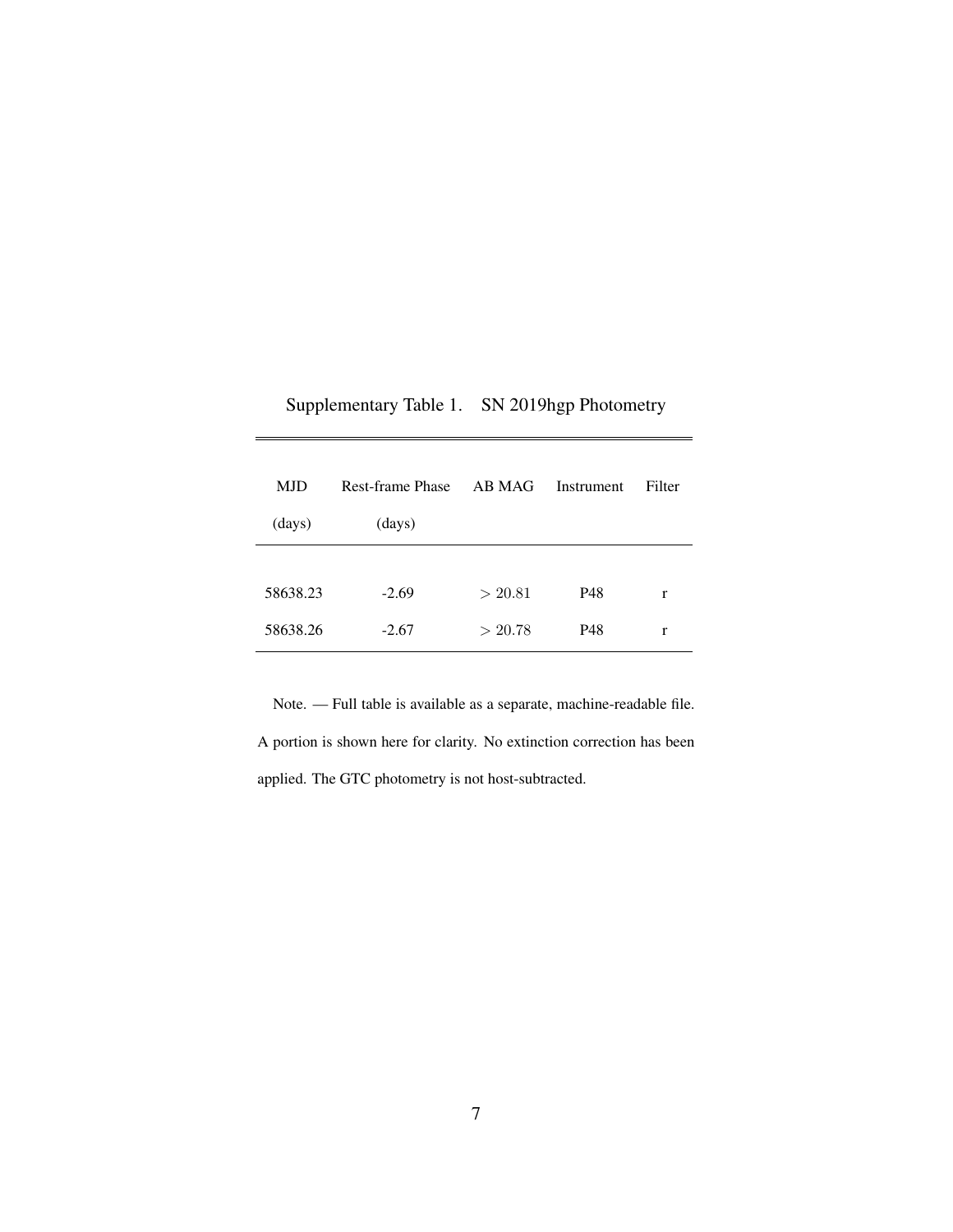| Supplementary Table 1. SN 2019hgp Photometry |
|----------------------------------------------|
|                                              |
|                                              |

 $\equiv$ 

| MJD      | Rest-frame Phase | AB MAG  | Instrument | Filter |
|----------|------------------|---------|------------|--------|
| (days)   | (days)           |         |            |        |
|          |                  |         |            |        |
| 58638.23 | $-2.69$          | > 20.81 | P48        | r      |
| 58638.26 | $-2.67$          | > 20.78 | P48        | r      |

Note. — Full table is available as a separate, machine-readable file. A portion is shown here for clarity. No extinction correction has been applied. The GTC photometry is not host-subtracted.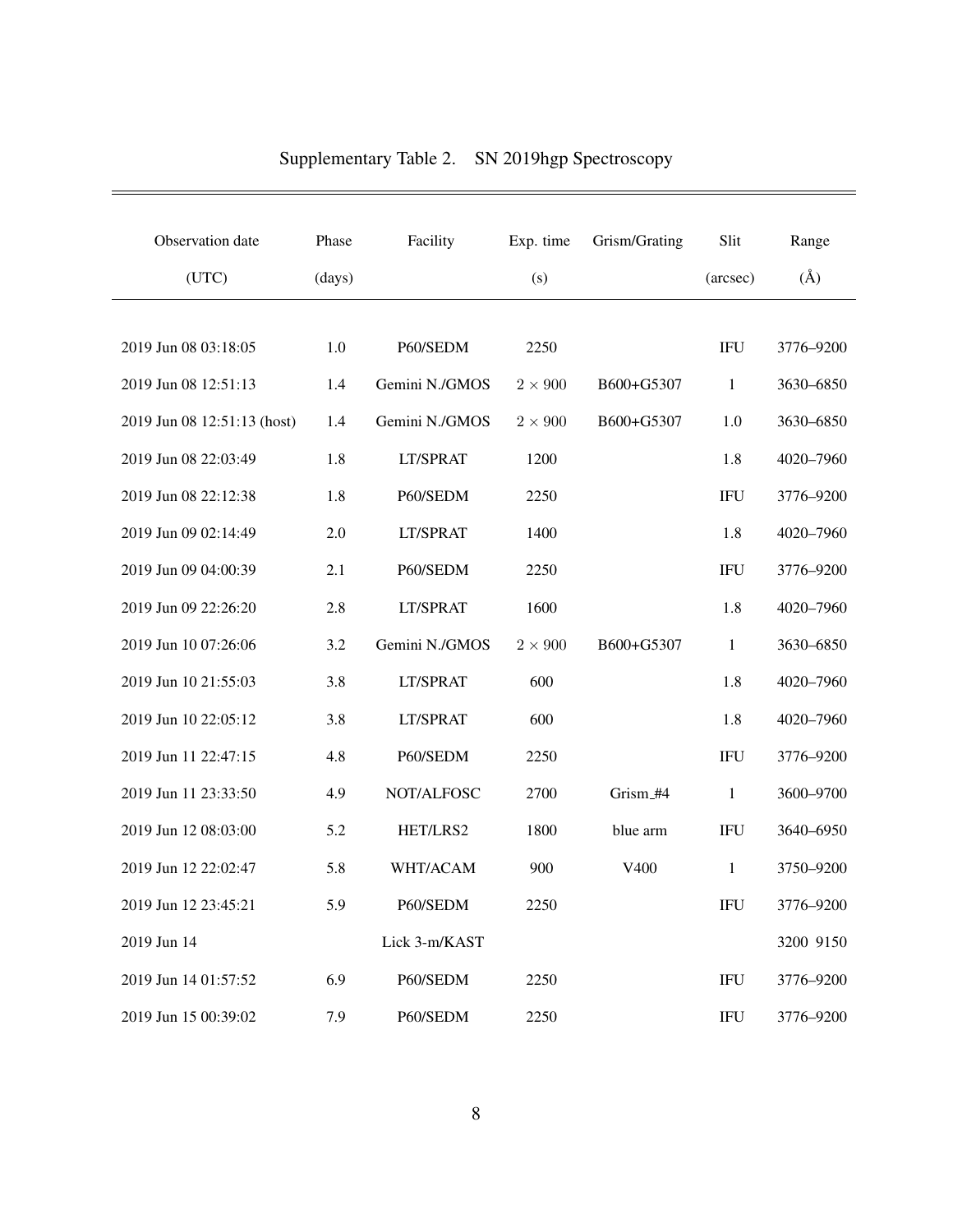| Observation date            | Phase  | Facility       | Exp. time    | Grism/Grating | Slit         | Range     |
|-----------------------------|--------|----------------|--------------|---------------|--------------|-----------|
| (UTC)                       | (days) |                | (s)          |               | (arcsec)     | $(\AA)$   |
|                             |        |                |              |               |              |           |
| 2019 Jun 08 03:18:05        | 1.0    | P60/SEDM       | 2250         |               | <b>IFU</b>   | 3776-9200 |
| 2019 Jun 08 12:51:13        | 1.4    | Gemini N./GMOS | $2\times900$ | B600+G5307    | $\mathbf{1}$ | 3630-6850 |
| 2019 Jun 08 12:51:13 (host) | 1.4    | Gemini N./GMOS | $2\times900$ | B600+G5307    | 1.0          | 3630-6850 |
| 2019 Jun 08 22:03:49        | 1.8    | LT/SPRAT       | 1200         |               | 1.8          | 4020-7960 |
| 2019 Jun 08 22:12:38        | 1.8    | P60/SEDM       | 2250         |               | <b>IFU</b>   | 3776-9200 |
| 2019 Jun 09 02:14:49        | 2.0    | LT/SPRAT       | 1400         |               | 1.8          | 4020-7960 |
| 2019 Jun 09 04:00:39        | 2.1    | P60/SEDM       | 2250         |               |              | 3776-9200 |
| 2019 Jun 09 22:26:20        | 2.8    | LT/SPRAT       | 1600         |               | 1.8          | 4020-7960 |
| 2019 Jun 10 07:26:06        | 3.2    | Gemini N./GMOS | $2\times900$ | B600+G5307    | 1            | 3630-6850 |
| 2019 Jun 10 21:55:03        | 3.8    | LT/SPRAT       | 600          |               | 1.8          | 4020-7960 |
| 2019 Jun 10 22:05:12        | 3.8    | LT/SPRAT       | 600          |               | 1.8          | 4020-7960 |
| 2019 Jun 11 22:47:15        | 4.8    | P60/SEDM       | 2250         |               | <b>IFU</b>   | 3776-9200 |
| 2019 Jun 11 23:33:50        | 4.9    | NOT/ALFOSC     | 2700         | Grism_#4      | 1            | 3600-9700 |
| 2019 Jun 12 08:03:00        | 5.2    | HET/LRS2       | 1800         | blue arm      | <b>IFU</b>   | 3640-6950 |
| 2019 Jun 12 22:02:47        | 5.8    | WHT/ACAM       | 900          | V400          | 1            | 3750-9200 |
| 2019 Jun 12 23:45:21        | 5.9    | P60/SEDM       | 2250         |               | IFU          | 3776-9200 |
| 2019 Jun 14                 |        | Lick 3-m/KAST  |              |               |              | 3200 9150 |
| 2019 Jun 14 01:57:52        | 6.9    | P60/SEDM       | 2250         |               | <b>IFU</b>   | 3776-9200 |
| 2019 Jun 15 00:39:02        | 7.9    | P60/SEDM       | 2250         |               | <b>IFU</b>   | 3776-9200 |

## Supplementary Table 2. SN 2019hgp Spectroscopy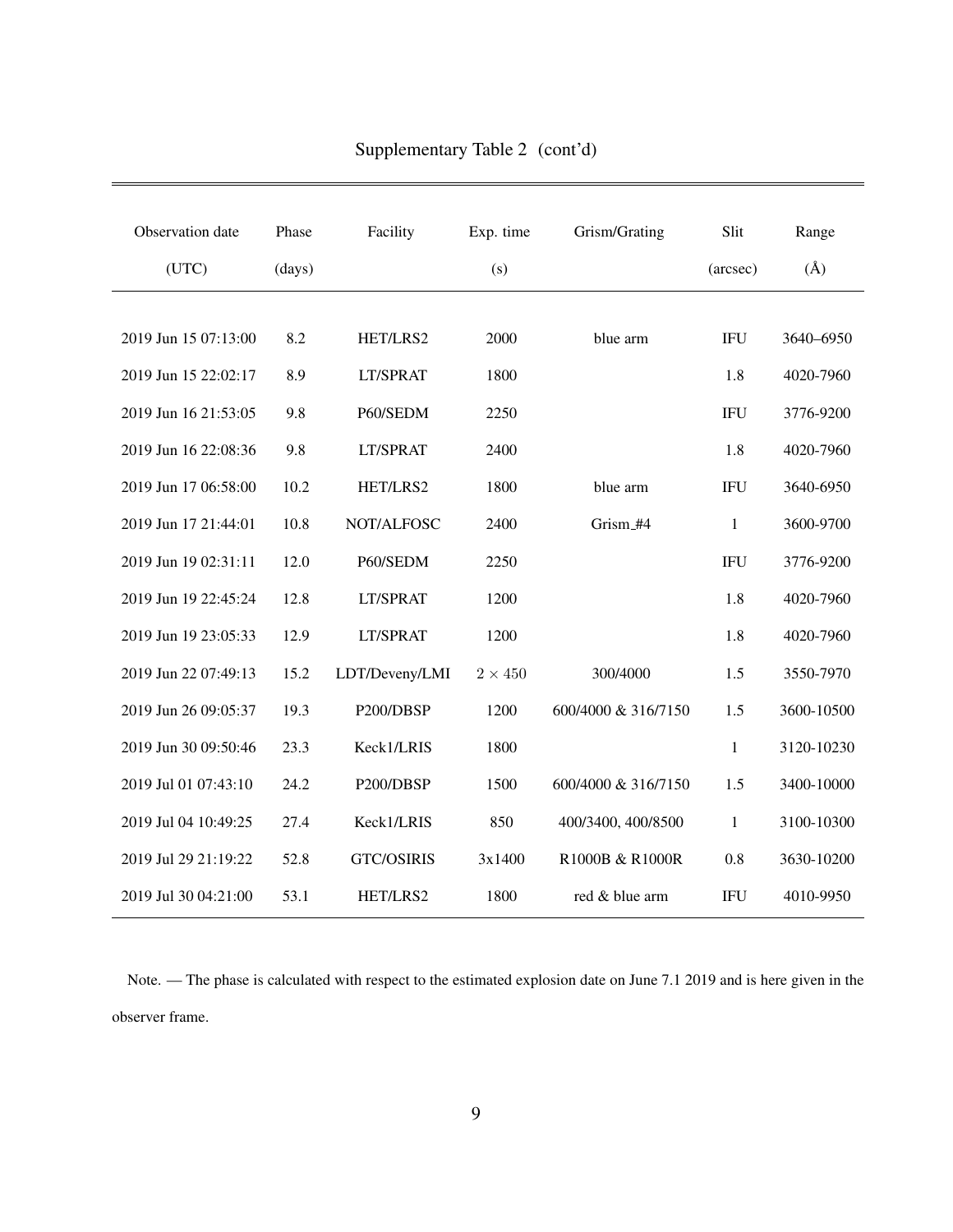| Observation date     | Phase  | Facility          | Exp. time      | Grism/Grating       | Slit         | Range      |
|----------------------|--------|-------------------|----------------|---------------------|--------------|------------|
| (UTC)                | (days) |                   | (s)            |                     | (arcsec)     | $(\AA)$    |
|                      |        |                   |                |                     |              |            |
| 2019 Jun 15 07:13:00 | 8.2    | HET/LRS2          | 2000           | blue arm            | <b>IFU</b>   | 3640-6950  |
| 2019 Jun 15 22:02:17 | 8.9    | LT/SPRAT          | 1800           |                     | 1.8          | 4020-7960  |
| 2019 Jun 16 21:53:05 | 9.8    | P60/SEDM          | 2250           |                     | <b>IFU</b>   | 3776-9200  |
| 2019 Jun 16 22:08:36 | 9.8    | LT/SPRAT          | 2400           |                     | 1.8          | 4020-7960  |
| 2019 Jun 17 06:58:00 | 10.2   | HET/LRS2          | 1800           | blue arm            | <b>IFU</b>   | 3640-6950  |
| 2019 Jun 17 21:44:01 | 10.8   | NOT/ALFOSC        | 2400           | Grism_#4            | $\mathbf{1}$ | 3600-9700  |
| 2019 Jun 19 02:31:11 | 12.0   | P60/SEDM          | 2250           |                     | <b>IFU</b>   | 3776-9200  |
| 2019 Jun 19 22:45:24 | 12.8   | LT/SPRAT          | 1200           |                     | 1.8          | 4020-7960  |
| 2019 Jun 19 23:05:33 | 12.9   | LT/SPRAT          | 1200           |                     | 1.8          | 4020-7960  |
| 2019 Jun 22 07:49:13 | 15.2   | LDT/Deveny/LMI    | $2 \times 450$ | 300/4000            | 1.5          | 3550-7970  |
| 2019 Jun 26 09:05:37 | 19.3   | P200/DBSP         | 1200           | 600/4000 & 316/7150 | 1.5          | 3600-10500 |
| 2019 Jun 30 09:50:46 | 23.3   | Keck1/LRIS        | 1800           |                     | $\mathbf{1}$ | 3120-10230 |
| 2019 Jul 01 07:43:10 | 24.2   | P200/DBSP         | 1500           | 600/4000 & 316/7150 | 1.5          | 3400-10000 |
| 2019 Jul 04 10:49:25 | 27.4   | Keck1/LRIS        | 850            | 400/3400, 400/8500  | 1            | 3100-10300 |
| 2019 Jul 29 21:19:22 | 52.8   | <b>GTC/OSIRIS</b> | 3x1400         | R1000B & R1000R     | 0.8          | 3630-10200 |
| 2019 Jul 30 04:21:00 | 53.1   | HET/LRS2          | 1800           | red & blue arm      | <b>IFU</b>   | 4010-9950  |

Supplementary Table 2 (cont'd)

Note. — The phase is calculated with respect to the estimated explosion date on June 7.1 2019 and is here given in the observer frame.